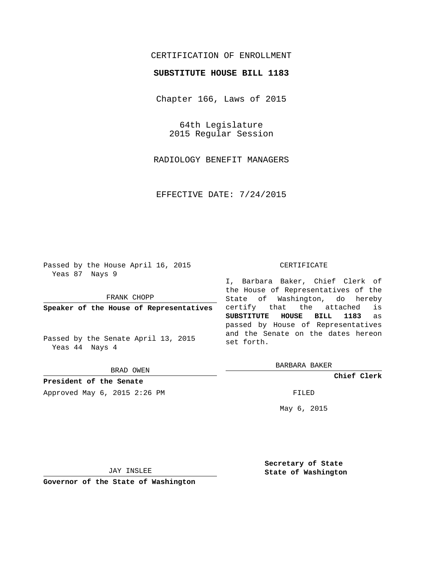## CERTIFICATION OF ENROLLMENT

## **SUBSTITUTE HOUSE BILL 1183**

Chapter 166, Laws of 2015

64th Legislature 2015 Regular Session

RADIOLOGY BENEFIT MANAGERS

EFFECTIVE DATE: 7/24/2015

Passed by the House April 16, 2015 Yeas 87 Nays 9

FRANK CHOPP

**Speaker of the House of Representatives**

Passed by the Senate April 13, 2015 Yeas 44 Nays 4

BRAD OWEN

**President of the Senate**

Approved May 6, 2015 2:26 PM FILED

#### CERTIFICATE

I, Barbara Baker, Chief Clerk of the House of Representatives of the State of Washington, do hereby certify that the attached is **SUBSTITUTE HOUSE BILL 1183** as passed by House of Representatives and the Senate on the dates hereon set forth.

BARBARA BAKER

**Chief Clerk**

May 6, 2015

JAY INSLEE

**Governor of the State of Washington**

**Secretary of State State of Washington**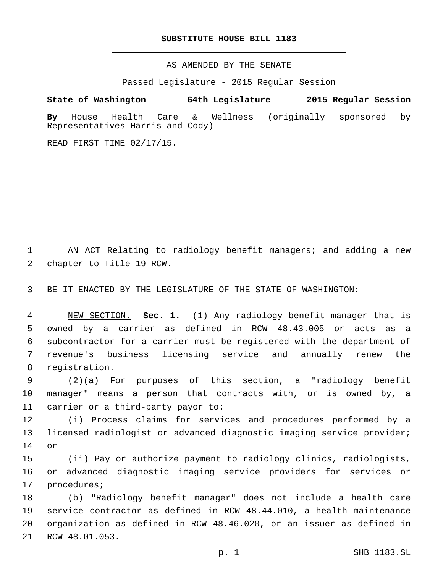### **SUBSTITUTE HOUSE BILL 1183**

AS AMENDED BY THE SENATE

Passed Legislature - 2015 Regular Session

# **State of Washington 64th Legislature 2015 Regular Session**

**By** House Health Care & Wellness (originally sponsored by Representatives Harris and Cody)

READ FIRST TIME 02/17/15.

1 AN ACT Relating to radiology benefit managers; and adding a new 2 chapter to Title 19 RCW.

3 BE IT ENACTED BY THE LEGISLATURE OF THE STATE OF WASHINGTON:

 NEW SECTION. **Sec. 1.** (1) Any radiology benefit manager that is owned by a carrier as defined in RCW 48.43.005 or acts as a subcontractor for a carrier must be registered with the department of revenue's business licensing service and annually renew the registration.

9 (2)(a) For purposes of this section, a "radiology benefit 10 manager" means a person that contracts with, or is owned by, a 11 carrier or a third-party payor to:

12 (i) Process claims for services and procedures performed by a 13 licensed radiologist or advanced diagnostic imaging service provider; 14 or

15 (ii) Pay or authorize payment to radiology clinics, radiologists, 16 or advanced diagnostic imaging service providers for services or 17 procedures;

 (b) "Radiology benefit manager" does not include a health care service contractor as defined in RCW 48.44.010, a health maintenance organization as defined in RCW 48.46.020, or an issuer as defined in 21 RCW 48.01.053.